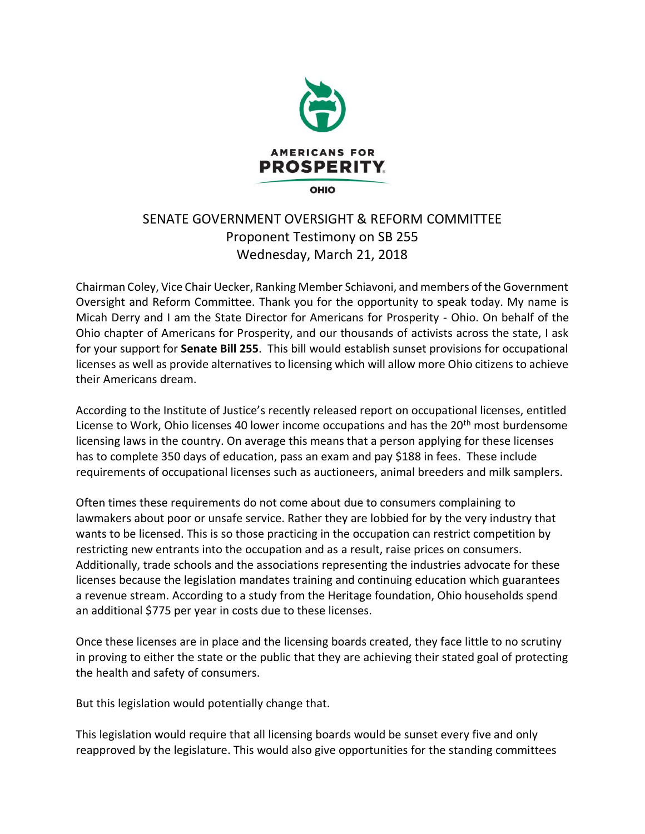

## SENATE GOVERNMENT OVERSIGHT & REFORM COMMITTEE Proponent Testimony on SB 255 Wednesday, March 21, 2018

Chairman Coley, Vice Chair Uecker, Ranking Member Schiavoni, and members of the Government Oversight and Reform Committee. Thank you for the opportunity to speak today. My name is Micah Derry and I am the State Director for Americans for Prosperity - Ohio. On behalf of the Ohio chapter of Americans for Prosperity, and our thousands of activists across the state, I ask for your support for **Senate Bill 255**. This bill would establish sunset provisions for occupational licenses as well as provide alternatives to licensing which will allow more Ohio citizens to achieve their Americans dream.

According to the Institute of Justice's recently released report on occupational licenses, entitled License to Work, Ohio licenses 40 lower income occupations and has the 20<sup>th</sup> most burdensome licensing laws in the country. On average this means that a person applying for these licenses has to complete 350 days of education, pass an exam and pay \$188 in fees. These include requirements of occupational licenses such as auctioneers, animal breeders and milk samplers.

Often times these requirements do not come about due to consumers complaining to lawmakers about poor or unsafe service. Rather they are lobbied for by the very industry that wants to be licensed. This is so those practicing in the occupation can restrict competition by restricting new entrants into the occupation and as a result, raise prices on consumers. Additionally, trade schools and the associations representing the industries advocate for these licenses because the legislation mandates training and continuing education which guarantees a revenue stream. According to a study from the Heritage foundation, Ohio households spend an additional \$775 per year in costs due to these licenses.

Once these licenses are in place and the licensing boards created, they face little to no scrutiny in proving to either the state or the public that they are achieving their stated goal of protecting the health and safety of consumers.

But this legislation would potentially change that.

This legislation would require that all licensing boards would be sunset every five and only reapproved by the legislature. This would also give opportunities for the standing committees